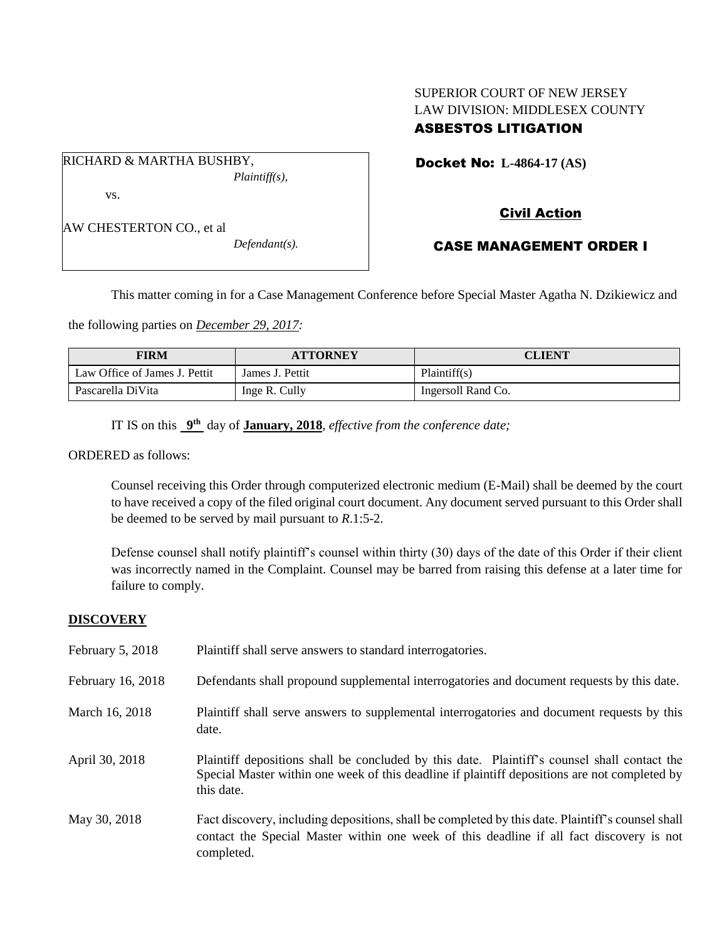## SUPERIOR COURT OF NEW JERSEY LAW DIVISION: MIDDLESEX COUNTY ASBESTOS LITIGATION

RICHARD & MARTHA BUSHBY, *Plaintiff(s),* vs.

AW CHESTERTON CO., et al

*Defendant(s).*

Docket No: **L-4864-17 (AS)** 

# Civil Action

## CASE MANAGEMENT ORDER I

This matter coming in for a Case Management Conference before Special Master Agatha N. Dzikiewicz and

the following parties on *December 29, 2017:*

| FIRM                          | <b>ATTORNEY</b> | <b>CLIENT</b>      |
|-------------------------------|-----------------|--------------------|
| Law Office of James J. Pettit | James J. Pettit | Plaintiff(s)       |
| Pascarella DiVita             | Inge R. Cully   | Ingersoll Rand Co. |

IT IS on this  $9<sup>th</sup>$  day of **January, 2018**, *effective from the conference date*;

ORDERED as follows:

Counsel receiving this Order through computerized electronic medium (E-Mail) shall be deemed by the court to have received a copy of the filed original court document. Any document served pursuant to this Order shall be deemed to be served by mail pursuant to *R*.1:5-2.

Defense counsel shall notify plaintiff's counsel within thirty (30) days of the date of this Order if their client was incorrectly named in the Complaint. Counsel may be barred from raising this defense at a later time for failure to comply.

#### **DISCOVERY**

| February 5, 2018  | Plaintiff shall serve answers to standard interrogatories.                                                                                                                                                  |
|-------------------|-------------------------------------------------------------------------------------------------------------------------------------------------------------------------------------------------------------|
| February 16, 2018 | Defendants shall propound supplemental interrogatories and document requests by this date.                                                                                                                  |
| March 16, 2018    | Plaintiff shall serve answers to supplemental interrogatories and document requests by this<br>date.                                                                                                        |
| April 30, 2018    | Plaintiff depositions shall be concluded by this date. Plaintiff's counsel shall contact the<br>Special Master within one week of this deadline if plaintiff depositions are not completed by<br>this date. |
| May 30, 2018      | Fact discovery, including depositions, shall be completed by this date. Plaintiff's counsel shall<br>contact the Special Master within one week of this deadline if all fact discovery is not<br>completed. |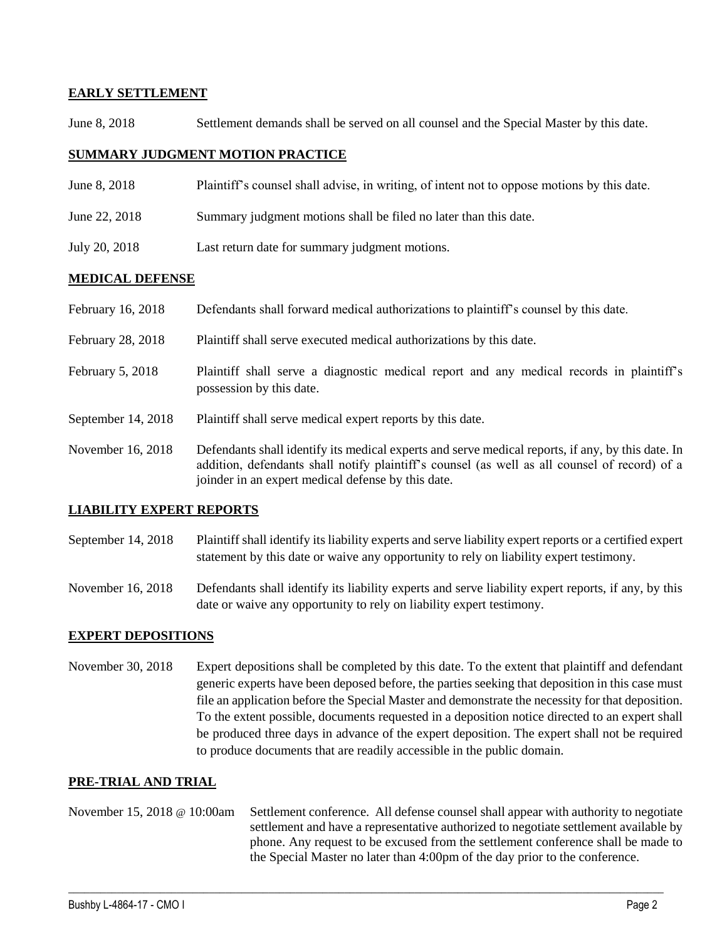### **EARLY SETTLEMENT**

June 8, 2018 Settlement demands shall be served on all counsel and the Special Master by this date.

### **SUMMARY JUDGMENT MOTION PRACTICE**

- June 8, 2018 Plaintiff's counsel shall advise, in writing, of intent not to oppose motions by this date.
- June 22, 2018 Summary judgment motions shall be filed no later than this date.
- July 20, 2018 Last return date for summary judgment motions.

#### **MEDICAL DEFENSE**

| February 16, 2018  | Defendants shall forward medical authorizations to plaintiff's counsel by this date.                                                                                                                                                                     |
|--------------------|----------------------------------------------------------------------------------------------------------------------------------------------------------------------------------------------------------------------------------------------------------|
| February 28, 2018  | Plaintiff shall serve executed medical authorizations by this date.                                                                                                                                                                                      |
| February 5, 2018   | Plaintiff shall serve a diagnostic medical report and any medical records in plaintiff's<br>possession by this date.                                                                                                                                     |
| September 14, 2018 | Plaintiff shall serve medical expert reports by this date.                                                                                                                                                                                               |
| November 16, 2018  | Defendants shall identify its medical experts and serve medical reports, if any, by this date. In<br>addition, defendants shall notify plaintiff's counsel (as well as all counsel of record) of a<br>joinder in an expert medical defense by this date. |

## **LIABILITY EXPERT REPORTS**

September 14, 2018 Plaintiff shall identify its liability experts and serve liability expert reports or a certified expert statement by this date or waive any opportunity to rely on liability expert testimony.

November 16, 2018 Defendants shall identify its liability experts and serve liability expert reports, if any, by this date or waive any opportunity to rely on liability expert testimony.

#### **EXPERT DEPOSITIONS**

November 30, 2018 Expert depositions shall be completed by this date. To the extent that plaintiff and defendant generic experts have been deposed before, the parties seeking that deposition in this case must file an application before the Special Master and demonstrate the necessity for that deposition. To the extent possible, documents requested in a deposition notice directed to an expert shall be produced three days in advance of the expert deposition. The expert shall not be required to produce documents that are readily accessible in the public domain.

### **PRE-TRIAL AND TRIAL**

November 15, 2018 @ 10:00am Settlement conference. All defense counsel shall appear with authority to negotiate settlement and have a representative authorized to negotiate settlement available by phone. Any request to be excused from the settlement conference shall be made to the Special Master no later than 4:00pm of the day prior to the conference.

 $\_$  ,  $\_$  ,  $\_$  ,  $\_$  ,  $\_$  ,  $\_$  ,  $\_$  ,  $\_$  ,  $\_$  ,  $\_$  ,  $\_$  ,  $\_$  ,  $\_$  ,  $\_$  ,  $\_$  ,  $\_$  ,  $\_$  ,  $\_$  ,  $\_$  ,  $\_$  ,  $\_$  ,  $\_$  ,  $\_$  ,  $\_$  ,  $\_$  ,  $\_$  ,  $\_$  ,  $\_$  ,  $\_$  ,  $\_$  ,  $\_$  ,  $\_$  ,  $\_$  ,  $\_$  ,  $\_$  ,  $\_$  ,  $\_$  ,